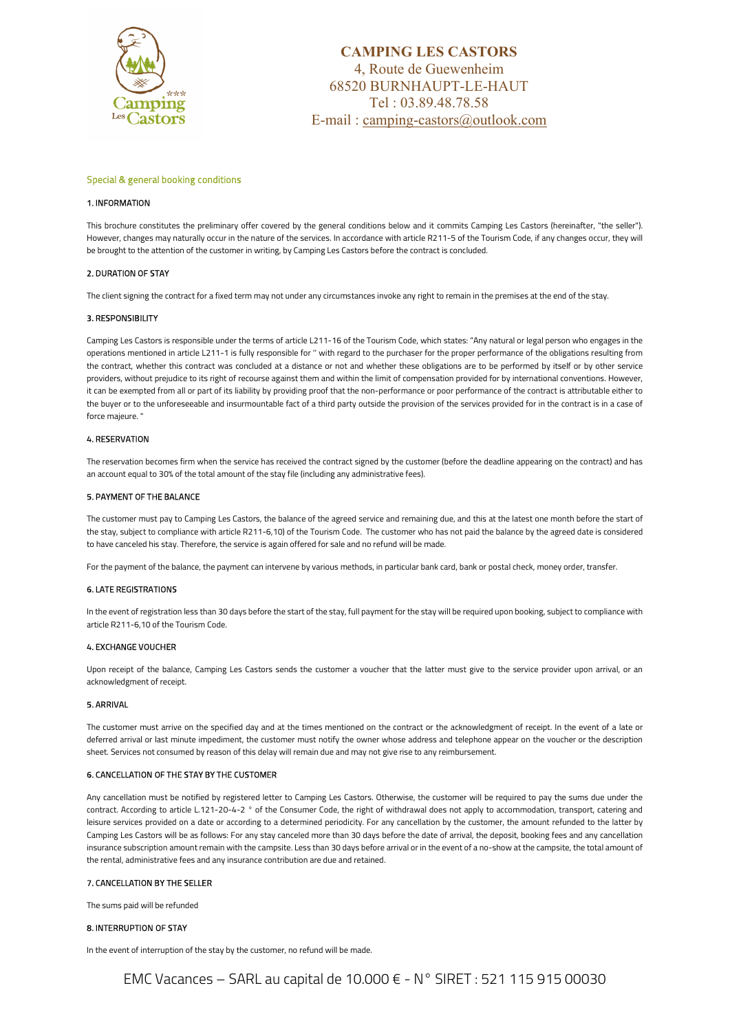

# CAMPING LES CASTORS 4, Route de Guewenheim 68520 BURNHAUPT-LE-HAUT Tel : 03.89.48.78.58 E-mail : camping-castors@outlook.com

# Special & general booking conditions

### 1. INFORMATION

This brochure constitutes the preliminary offer covered by the general conditions below and it commits Camping Les Castors (hereinafter, "the seller"). However, changes may naturally occur in the nature of the services. In accordance with article R211-5 of the Tourism Code, if any changes occur, they will be brought to the attention of the customer in writing, by Camping Les Castors before the contract is concluded.

# 2. DURATION OF STAY

The client signing the contract for a fixed term may not under any circumstances invoke any right to remain in the premises at the end of the stay.

## 3. RESPONSIBILITY

Camping Les Castors is responsible under the terms of article L211-16 of the Tourism Code, which states: "Any natural or legal person who engages in the operations mentioned in article L211-1 is fully responsible for '' with regard to the purchaser for the proper performance of the obligations resulting from the contract, whether this contract was concluded at a distance or not and whether these obligations are to be performed by itself or by other service providers, without prejudice to its right of recourse against them and within the limit of compensation provided for by international conventions. However, it can be exempted from all or part of its liability by providing proof that the non-performance or poor performance of the contract is attributable either to the buyer or to the unforeseeable and insurmountable fact of a third party outside the provision of the services provided for in the contract is in a case of force majeure. "

### 4. RESERVATION

The reservation becomes firm when the service has received the contract signed by the customer (before the deadline appearing on the contract) and has an account equal to 30% of the total amount of the stay file (including any administrative fees).

### 5. PAYMENT OF THE BALANCE

The customer must pay to Camping Les Castors, the balance of the agreed service and remaining due, and this at the latest one month before the start of the stay, subject to compliance with article R211-6,10) of the Tourism Code. The customer who has not paid the balance by the agreed date is considered to have canceled his stay. Therefore, the service is again offered for sale and no refund will be made.

For the payment of the balance, the payment can intervene by various methods, in particular bank card, bank or postal check, money order, transfer.

### 6. LATE REGISTRATIONS

In the event of registration less than 30 days before the start of the stay, full payment for the stay will be required upon booking, subject to compliance with article R211-6,10 of the Tourism Code.

# 4. EXCHANGE VOUCHER

Upon receipt of the balance, Camping Les Castors sends the customer a voucher that the latter must give to the service provider upon arrival, or an acknowledgment of receipt.

### 5. ARRIVAL

The customer must arrive on the specified day and at the times mentioned on the contract or the acknowledgment of receipt. In the event of a late or deferred arrival or last minute impediment, the customer must notify the owner whose address and telephone appear on the voucher or the description sheet. Services not consumed by reason of this delay will remain due and may not give rise to any reimbursement.

### 6. CANCELLATION OF THE STAY BY THE CUSTOMER

Any cancellation must be notified by registered letter to Camping Les Castors. Otherwise, the customer will be required to pay the sums due under the contract. According to article L.121-20-4-2 ° of the Consumer Code, the right of withdrawal does not apply to accommodation, transport, catering and leisure services provided on a date or according to a determined periodicity. For any cancellation by the customer, the amount refunded to the latter by Camping Les Castors will be as follows: For any stay canceled more than 30 days before the date of arrival, the deposit, booking fees and any cancellation insurance subscription amount remain with the campsite. Less than 30 days before arrival or in the event of a no-show at the campsite, the total amount of the rental, administrative fees and any insurance contribution are due and retained.

### 7. CANCELLATION BY THE SELLER

The sums paid will be refunded

### 8. INTERRUPTION OF STAY

In the event of interruption of the stay by the customer, no refund will be made.